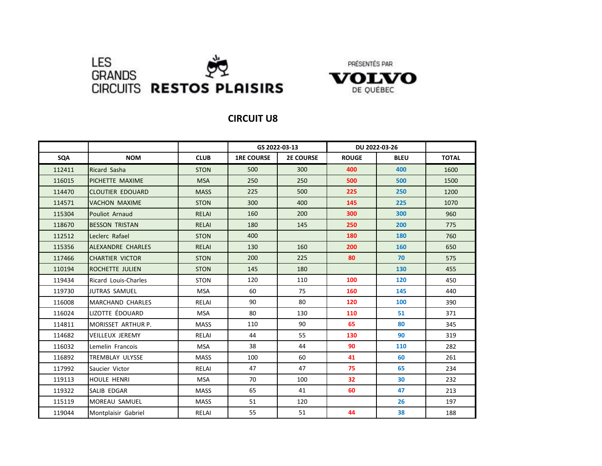





|        |                          |              | GS 2022-03-13     |                  | DU 2022-03-26 |             |              |
|--------|--------------------------|--------------|-------------------|------------------|---------------|-------------|--------------|
| SQA    | <b>NOM</b>               | <b>CLUB</b>  | <b>1RE COURSE</b> | <b>2E COURSE</b> | <b>ROUGE</b>  | <b>BLEU</b> | <b>TOTAL</b> |
| 112411 | Ricard Sasha             | <b>STON</b>  | 500               | 300              | 400           | 400         | 1600         |
| 116015 | PICHETTE MAXIME          | <b>MSA</b>   | 250               | 250              | 500           | 500         | 1500         |
| 114470 | <b>CLOUTIER EDOUARD</b>  | <b>MASS</b>  | 225               | 500              | 225           | 250         | 1200         |
| 114571 | <b>VACHON MAXIME</b>     | <b>STON</b>  | 300               | 400              | 145           | 225         | 1070         |
| 115304 | <b>Pouliot Arnaud</b>    | <b>RELAI</b> | 160               | 200              | 300           | 300         | 960          |
| 118670 | <b>BESSON TRISTAN</b>    | <b>RELAI</b> | 180               | 145              | 250           | 200         | 775          |
| 112512 | Leclerc Rafael           | <b>STON</b>  | 400               |                  | 180           | 180         | 760          |
| 115356 | <b>ALEXANDRE CHARLES</b> | <b>RELAI</b> | 130               | 160              | 200           | 160         | 650          |
| 117466 | <b>CHARTIER VICTOR</b>   | <b>STON</b>  | 200               | 225              | 80            | 70          | 575          |
| 110194 | ROCHETTE JULIEN          | <b>STON</b>  | 145               | 180              |               | 130         | 455          |
| 119434 | Ricard Louis-Charles     | <b>STON</b>  | 120               | 110              | 100           | 120         | 450          |
| 119730 | JUTRAS SAMUEL            | <b>MSA</b>   | 60                | 75               | 160           | 145         | 440          |
| 116008 | MARCHAND CHARLES         | RELAI        | 90                | 80               | 120           | 100         | 390          |
| 116024 | LIZOTTE ÉDOUARD          | <b>MSA</b>   | 80                | 130              | 110           | 51          | 371          |
| 114811 | MORISSET ARTHUR P.       | <b>MASS</b>  | 110               | 90               | 65            | 80          | 345          |
| 114682 | <b>VEILLEUX JEREMY</b>   | RELAI        | 44                | 55               | 130           | 90          | 319          |
| 116032 | Lemelin Francois         | <b>MSA</b>   | 38                | 44               | 90            | 110         | 282          |
| 116892 | TREMBLAY ULYSSE          | <b>MASS</b>  | 100               | 60               | 41            | 60          | 261          |
| 117992 | Saucier Victor           | RELAI        | 47                | 47               | 75            | 65          | 234          |
| 119113 | <b>HOULE HENRI</b>       | <b>MSA</b>   | 70                | 100              | 32            | 30          | 232          |
| 119322 | SALIB EDGAR              | <b>MASS</b>  | 65                | 41               | 60            | 47          | 213          |
| 115119 | <b>MOREAU SAMUEL</b>     | <b>MASS</b>  | 51                | 120              |               | 26          | 197          |
| 119044 | Montplaisir Gabriel      | RELAI        | 55                | 51               | 44            | 38          | 188          |